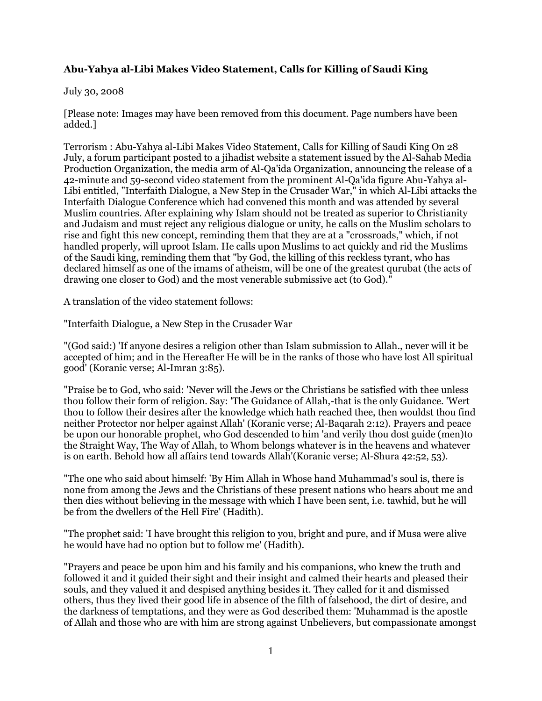# **Abu-Yahya al-Libi Makes Video Statement, Calls for Killing of Saudi King**

## July 30, 2008

[Please note: Images may have been removed from this document. Page numbers have been added.]

Terrorism : Abu-Yahya al-Libi Makes Video Statement, Calls for Killing of Saudi King On 28 July, a forum participant posted to a jihadist website a statement issued by the Al-Sahab Media Production Organization, the media arm of Al-Qa'ida Organization, announcing the release of a 42-minute and 59-second video statement from the prominent Al-Qa'ida figure Abu-Yahya al-Libi entitled, "Interfaith Dialogue, a New Step in the Crusader War," in which Al-Libi attacks the Interfaith Dialogue Conference which had convened this month and was attended by several Muslim countries. After explaining why Islam should not be treated as superior to Christianity and Judaism and must reject any religious dialogue or unity, he calls on the Muslim scholars to rise and fight this new concept, reminding them that they are at a "crossroads," which, if not handled properly, will uproot Islam. He calls upon Muslims to act quickly and rid the Muslims of the Saudi king, reminding them that "by God, the killing of this reckless tyrant, who has declared himself as one of the imams of atheism, will be one of the greatest qurubat (the acts of drawing one closer to God) and the most venerable submissive act (to God)."

A translation of the video statement follows:

"Interfaith Dialogue, a New Step in the Crusader War

"(God said:) 'If anyone desires a religion other than Islam submission to Allah., never will it be accepted of him; and in the Hereafter He will be in the ranks of those who have lost All spiritual good' (Koranic verse; Al-Imran 3:85).

"Praise be to God, who said: 'Never will the Jews or the Christians be satisfied with thee unless thou follow their form of religion. Say: 'The Guidance of Allah,-that is the only Guidance. 'Wert thou to follow their desires after the knowledge which hath reached thee, then wouldst thou find neither Protector nor helper against Allah' (Koranic verse; Al-Baqarah 2:12). Prayers and peace be upon our honorable prophet, who God descended to him 'and verily thou dost guide (men)to the Straight Way, The Way of Allah, to Whom belongs whatever is in the heavens and whatever is on earth. Behold how all affairs tend towards Allah'(Koranic verse; Al-Shura 42:52, 53).

"The one who said about himself: 'By Him Allah in Whose hand Muhammad's soul is, there is none from among the Jews and the Christians of these present nations who hears about me and then dies without believing in the message with which I have been sent, i.e. tawhid, but he will be from the dwellers of the Hell Fire' (Hadith).

"The prophet said: 'I have brought this religion to you, bright and pure, and if Musa were alive he would have had no option but to follow me' (Hadith).

"Prayers and peace be upon him and his family and his companions, who knew the truth and followed it and it guided their sight and their insight and calmed their hearts and pleased their souls, and they valued it and despised anything besides it. They called for it and dismissed others, thus they lived their good life in absence of the filth of falsehood, the dirt of desire, and the darkness of temptations, and they were as God described them: 'Muhammad is the apostle of Allah and those who are with him are strong against Unbelievers, but compassionate amongst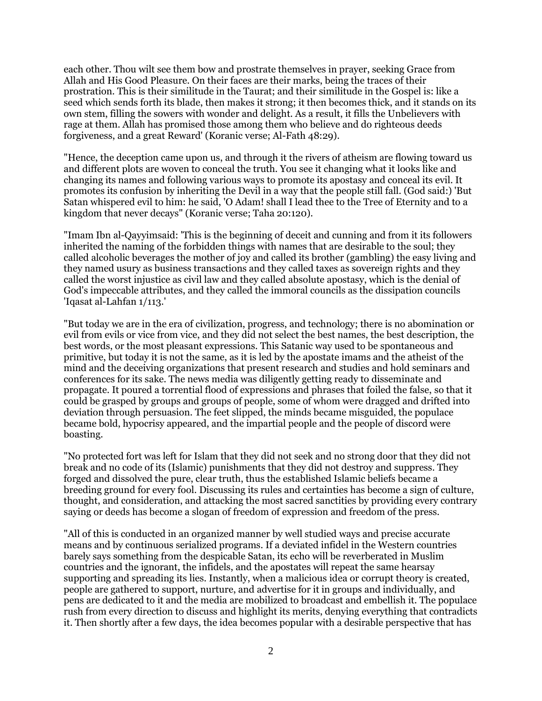each other. Thou wilt see them bow and prostrate themselves in prayer, seeking Grace from Allah and His Good Pleasure. On their faces are their marks, being the traces of their prostration. This is their similitude in the Taurat; and their similitude in the Gospel is: like a seed which sends forth its blade, then makes it strong; it then becomes thick, and it stands on its own stem, filling the sowers with wonder and delight. As a result, it fills the Unbelievers with rage at them. Allah has promised those among them who believe and do righteous deeds forgiveness, and a great Reward' (Koranic verse; Al-Fath 48:29).

"Hence, the deception came upon us, and through it the rivers of atheism are flowing toward us and different plots are woven to conceal the truth. You see it changing what it looks like and changing its names and following various ways to promote its apostasy and conceal its evil. It promotes its confusion by inheriting the Devil in a way that the people still fall. (God said:) 'But Satan whispered evil to him: he said, 'O Adam! shall I lead thee to the Tree of Eternity and to a kingdom that never decays" (Koranic verse; Taha 20:120).

"Imam Ibn al-Qayyimsaid: 'This is the beginning of deceit and cunning and from it its followers inherited the naming of the forbidden things with names that are desirable to the soul; they called alcoholic beverages the mother of joy and called its brother (gambling) the easy living and they named usury as business transactions and they called taxes as sovereign rights and they called the worst injustice as civil law and they called absolute apostasy, which is the denial of God's impeccable attributes, and they called the immoral councils as the dissipation councils 'Iqasat al-Lahfan 1/113.'

"But today we are in the era of civilization, progress, and technology; there is no abomination or evil from evils or vice from vice, and they did not select the best names, the best description, the best words, or the most pleasant expressions. This Satanic way used to be spontaneous and primitive, but today it is not the same, as it is led by the apostate imams and the atheist of the mind and the deceiving organizations that present research and studies and hold seminars and conferences for its sake. The news media was diligently getting ready to disseminate and propagate. It poured a torrential flood of expressions and phrases that foiled the false, so that it could be grasped by groups and groups of people, some of whom were dragged and drifted into deviation through persuasion. The feet slipped, the minds became misguided, the populace became bold, hypocrisy appeared, and the impartial people and the people of discord were boasting.

"No protected fort was left for Islam that they did not seek and no strong door that they did not break and no code of its (Islamic) punishments that they did not destroy and suppress. They forged and dissolved the pure, clear truth, thus the established Islamic beliefs became a breeding ground for every fool. Discussing its rules and certainties has become a sign of culture, thought, and consideration, and attacking the most sacred sanctities by providing every contrary saying or deeds has become a slogan of freedom of expression and freedom of the press.

"All of this is conducted in an organized manner by well studied ways and precise accurate means and by continuous serialized programs. If a deviated infidel in the Western countries barely says something from the despicable Satan, its echo will be reverberated in Muslim countries and the ignorant, the infidels, and the apostates will repeat the same hearsay supporting and spreading its lies. Instantly, when a malicious idea or corrupt theory is created, people are gathered to support, nurture, and advertise for it in groups and individually, and pens are dedicated to it and the media are mobilized to broadcast and embellish it. The populace rush from every direction to discuss and highlight its merits, denying everything that contradicts it. Then shortly after a few days, the idea becomes popular with a desirable perspective that has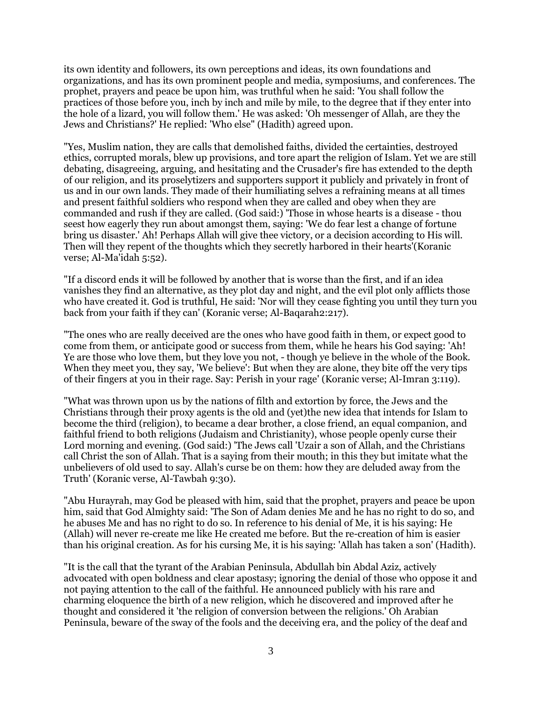its own identity and followers, its own perceptions and ideas, its own foundations and organizations, and has its own prominent people and media, symposiums, and conferences. The prophet, prayers and peace be upon him, was truthful when he said: 'You shall follow the practices of those before you, inch by inch and mile by mile, to the degree that if they enter into the hole of a lizard, you will follow them.' He was asked: 'Oh messenger of Allah, are they the Jews and Christians?' He replied: 'Who else" (Hadith) agreed upon.

"Yes, Muslim nation, they are calls that demolished faiths, divided the certainties, destroyed ethics, corrupted morals, blew up provisions, and tore apart the religion of Islam. Yet we are still debating, disagreeing, arguing, and hesitating and the Crusader's fire has extended to the depth of our religion, and its proselytizers and supporters support it publicly and privately in front of us and in our own lands. They made of their humiliating selves a refraining means at all times and present faithful soldiers who respond when they are called and obey when they are commanded and rush if they are called. (God said:) 'Those in whose hearts is a disease - thou seest how eagerly they run about amongst them, saying: 'We do fear lest a change of fortune bring us disaster.' Ah! Perhaps Allah will give thee victory, or a decision according to His will. Then will they repent of the thoughts which they secretly harbored in their hearts'(Koranic verse; Al-Ma'idah 5:52).

"If a discord ends it will be followed by another that is worse than the first, and if an idea vanishes they find an alternative, as they plot day and night, and the evil plot only afflicts those who have created it. God is truthful, He said: 'Nor will they cease fighting you until they turn you back from your faith if they can' (Koranic verse; Al-Baqarah2:217).

"The ones who are really deceived are the ones who have good faith in them, or expect good to come from them, or anticipate good or success from them, while he hears his God saying: 'Ah! Ye are those who love them, but they love you not, - though ye believe in the whole of the Book. When they meet you, they say, 'We believe': But when they are alone, they bite off the very tips of their fingers at you in their rage. Say: Perish in your rage' (Koranic verse; Al-Imran 3:119).

"What was thrown upon us by the nations of filth and extortion by force, the Jews and the Christians through their proxy agents is the old and (yet)the new idea that intends for Islam to become the third (religion), to became a dear brother, a close friend, an equal companion, and faithful friend to both religions (Judaism and Christianity), whose people openly curse their Lord morning and evening. (God said:) 'The Jews call 'Uzair a son of Allah, and the Christians call Christ the son of Allah. That is a saying from their mouth; in this they but imitate what the unbelievers of old used to say. Allah's curse be on them: how they are deluded away from the Truth' (Koranic verse, Al-Tawbah 9:30).

"Abu Hurayrah, may God be pleased with him, said that the prophet, prayers and peace be upon him, said that God Almighty said: 'The Son of Adam denies Me and he has no right to do so, and he abuses Me and has no right to do so. In reference to his denial of Me, it is his saying: He (Allah) will never re-create me like He created me before. But the re-creation of him is easier than his original creation. As for his cursing Me, it is his saying: 'Allah has taken a son' (Hadith).

"It is the call that the tyrant of the Arabian Peninsula, Abdullah bin Abdal Aziz, actively advocated with open boldness and clear apostasy; ignoring the denial of those who oppose it and not paying attention to the call of the faithful. He announced publicly with his rare and charming eloquence the birth of a new religion, which he discovered and improved after he thought and considered it 'the religion of conversion between the religions.' Oh Arabian Peninsula, beware of the sway of the fools and the deceiving era, and the policy of the deaf and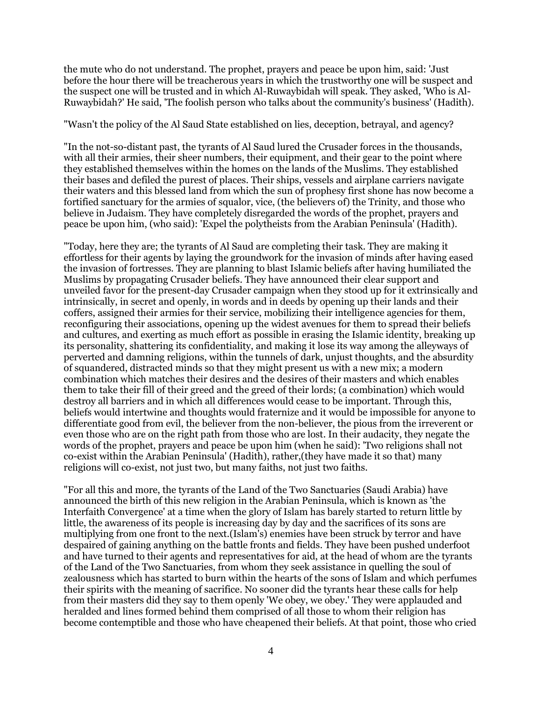the mute who do not understand. The prophet, prayers and peace be upon him, said: 'Just before the hour there will be treacherous years in which the trustworthy one will be suspect and the suspect one will be trusted and in which Al-Ruwaybidah will speak. They asked, 'Who is Al-Ruwaybidah?' He said, 'The foolish person who talks about the community's business' (Hadith).

"Wasn't the policy of the Al Saud State established on lies, deception, betrayal, and agency?

"In the not-so-distant past, the tyrants of Al Saud lured the Crusader forces in the thousands, with all their armies, their sheer numbers, their equipment, and their gear to the point where they established themselves within the homes on the lands of the Muslims. They established their bases and defiled the purest of places. Their ships, vessels and airplane carriers navigate their waters and this blessed land from which the sun of prophesy first shone has now become a fortified sanctuary for the armies of squalor, vice, (the believers of) the Trinity, and those who believe in Judaism. They have completely disregarded the words of the prophet, prayers and peace be upon him, (who said): 'Expel the polytheists from the Arabian Peninsula' (Hadith).

"Today, here they are; the tyrants of Al Saud are completing their task. They are making it effortless for their agents by laying the groundwork for the invasion of minds after having eased the invasion of fortresses. They are planning to blast Islamic beliefs after having humiliated the Muslims by propagating Crusader beliefs. They have announced their clear support and unveiled favor for the present-day Crusader campaign when they stood up for it extrinsically and intrinsically, in secret and openly, in words and in deeds by opening up their lands and their coffers, assigned their armies for their service, mobilizing their intelligence agencies for them, reconfiguring their associations, opening up the widest avenues for them to spread their beliefs and cultures, and exerting as much effort as possible in erasing the Islamic identity, breaking up its personality, shattering its confidentiality, and making it lose its way among the alleyways of perverted and damning religions, within the tunnels of dark, unjust thoughts, and the absurdity of squandered, distracted minds so that they might present us with a new mix; a modern combination which matches their desires and the desires of their masters and which enables them to take their fill of their greed and the greed of their lords; (a combination) which would destroy all barriers and in which all differences would cease to be important. Through this, beliefs would intertwine and thoughts would fraternize and it would be impossible for anyone to differentiate good from evil, the believer from the non-believer, the pious from the irreverent or even those who are on the right path from those who are lost. In their audacity, they negate the words of the prophet, prayers and peace be upon him (when he said): 'Two religions shall not co-exist within the Arabian Peninsula' (Hadith), rather,(they have made it so that) many religions will co-exist, not just two, but many faiths, not just two faiths.

"For all this and more, the tyrants of the Land of the Two Sanctuaries (Saudi Arabia) have announced the birth of this new religion in the Arabian Peninsula, which is known as 'the Interfaith Convergence' at a time when the glory of Islam has barely started to return little by little, the awareness of its people is increasing day by day and the sacrifices of its sons are multiplying from one front to the next.(Islam's) enemies have been struck by terror and have despaired of gaining anything on the battle fronts and fields. They have been pushed underfoot and have turned to their agents and representatives for aid, at the head of whom are the tyrants of the Land of the Two Sanctuaries, from whom they seek assistance in quelling the soul of zealousness which has started to burn within the hearts of the sons of Islam and which perfumes their spirits with the meaning of sacrifice. No sooner did the tyrants hear these calls for help from their masters did they say to them openly 'We obey, we obey.' They were applauded and heralded and lines formed behind them comprised of all those to whom their religion has become contemptible and those who have cheapened their beliefs. At that point, those who cried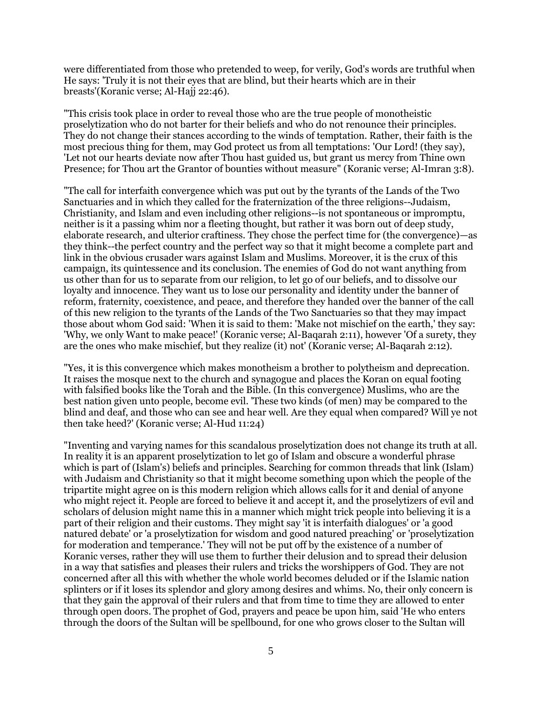were differentiated from those who pretended to weep, for verily, God's words are truthful when He says: 'Truly it is not their eyes that are blind, but their hearts which are in their breasts'(Koranic verse; Al-Hajj 22:46).

"This crisis took place in order to reveal those who are the true people of monotheistic proselytization who do not barter for their beliefs and who do not renounce their principles. They do not change their stances according to the winds of temptation. Rather, their faith is the most precious thing for them, may God protect us from all temptations: 'Our Lord! (they say), 'Let not our hearts deviate now after Thou hast guided us, but grant us mercy from Thine own Presence; for Thou art the Grantor of bounties without measure" (Koranic verse; Al-Imran 3:8).

"The call for interfaith convergence which was put out by the tyrants of the Lands of the Two Sanctuaries and in which they called for the fraternization of the three religions--Judaism, Christianity, and Islam and even including other religions--is not spontaneous or impromptu, neither is it a passing whim nor a fleeting thought, but rather it was born out of deep study, elaborate research, and ulterior craftiness. They chose the perfect time for (the convergence)—as they think--the perfect country and the perfect way so that it might become a complete part and link in the obvious crusader wars against Islam and Muslims. Moreover, it is the crux of this campaign, its quintessence and its conclusion. The enemies of God do not want anything from us other than for us to separate from our religion, to let go of our beliefs, and to dissolve our loyalty and innocence. They want us to lose our personality and identity under the banner of reform, fraternity, coexistence, and peace, and therefore they handed over the banner of the call of this new religion to the tyrants of the Lands of the Two Sanctuaries so that they may impact those about whom God said: 'When it is said to them: 'Make not mischief on the earth,' they say: 'Why, we only Want to make peace!' (Koranic verse; Al-Baqarah 2:11), however 'Of a surety, they are the ones who make mischief, but they realize (it) not' (Koranic verse; Al-Baqarah 2:12).

"Yes, it is this convergence which makes monotheism a brother to polytheism and deprecation. It raises the mosque next to the church and synagogue and places the Koran on equal footing with falsified books like the Torah and the Bible. (In this convergence) Muslims, who are the best nation given unto people, become evil. 'These two kinds (of men) may be compared to the blind and deaf, and those who can see and hear well. Are they equal when compared? Will ye not then take heed?' (Koranic verse; Al-Hud 11:24)

"Inventing and varying names for this scandalous proselytization does not change its truth at all. In reality it is an apparent proselytization to let go of Islam and obscure a wonderful phrase which is part of (Islam's) beliefs and principles. Searching for common threads that link (Islam) with Judaism and Christianity so that it might become something upon which the people of the tripartite might agree on is this modern religion which allows calls for it and denial of anyone who might reject it. People are forced to believe it and accept it, and the proselytizers of evil and scholars of delusion might name this in a manner which might trick people into believing it is a part of their religion and their customs. They might say 'it is interfaith dialogues' or 'a good natured debate' or 'a proselytization for wisdom and good natured preaching' or 'proselytization for moderation and temperance.' They will not be put off by the existence of a number of Koranic verses, rather they will use them to further their delusion and to spread their delusion in a way that satisfies and pleases their rulers and tricks the worshippers of God. They are not concerned after all this with whether the whole world becomes deluded or if the Islamic nation splinters or if it loses its splendor and glory among desires and whims. No, their only concern is that they gain the approval of their rulers and that from time to time they are allowed to enter through open doors. The prophet of God, prayers and peace be upon him, said 'He who enters through the doors of the Sultan will be spellbound, for one who grows closer to the Sultan will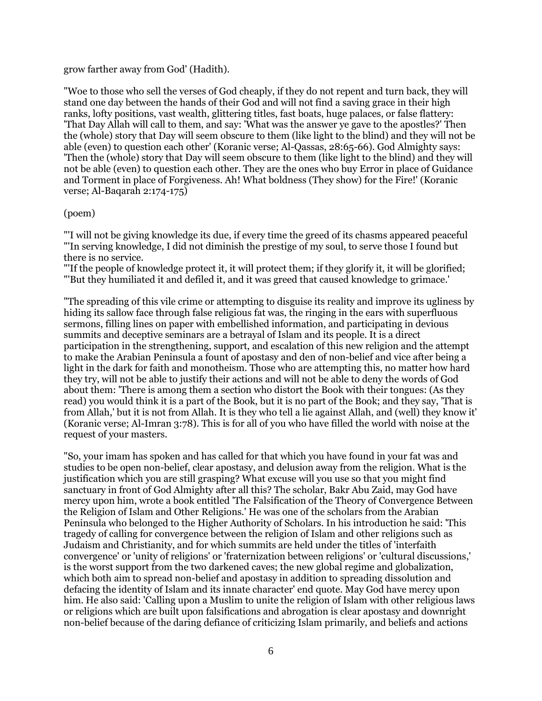#### grow farther away from God' (Hadith).

"Woe to those who sell the verses of God cheaply, if they do not repent and turn back, they will stand one day between the hands of their God and will not find a saving grace in their high ranks, lofty positions, vast wealth, glittering titles, fast boats, huge palaces, or false flattery: 'That Day Allah will call to them, and say: 'What was the answer ye gave to the apostles?' Then the (whole) story that Day will seem obscure to them (like light to the blind) and they will not be able (even) to question each other' (Koranic verse; Al-Qassas, 28:65-66). God Almighty says: 'Then the (whole) story that Day will seem obscure to them (like light to the blind) and they will not be able (even) to question each other. They are the ones who buy Error in place of Guidance and Torment in place of Forgiveness. Ah! What boldness (They show) for the Fire!' (Koranic verse; Al-Baqarah 2:174-175)

#### (poem)

"'I will not be giving knowledge its due, if every time the greed of its chasms appeared peaceful "'In serving knowledge, I did not diminish the prestige of my soul, to serve those I found but there is no service.

"'If the people of knowledge protect it, it will protect them; if they glorify it, it will be glorified; "'But they humiliated it and defiled it, and it was greed that caused knowledge to grimace.'

"The spreading of this vile crime or attempting to disguise its reality and improve its ugliness by hiding its sallow face through false religious fat was, the ringing in the ears with superfluous sermons, filling lines on paper with embellished information, and participating in devious summits and deceptive seminars are a betrayal of Islam and its people. It is a direct participation in the strengthening, support, and escalation of this new religion and the attempt to make the Arabian Peninsula a fount of apostasy and den of non-belief and vice after being a light in the dark for faith and monotheism. Those who are attempting this, no matter how hard they try, will not be able to justify their actions and will not be able to deny the words of God about them: 'There is among them a section who distort the Book with their tongues: (As they read) you would think it is a part of the Book, but it is no part of the Book; and they say, 'That is from Allah,' but it is not from Allah. It is they who tell a lie against Allah, and (well) they know it' (Koranic verse; Al-Imran 3:78). This is for all of you who have filled the world with noise at the request of your masters.

"So, your imam has spoken and has called for that which you have found in your fat was and studies to be open non-belief, clear apostasy, and delusion away from the religion. What is the justification which you are still grasping? What excuse will you use so that you might find sanctuary in front of God Almighty after all this? The scholar, Bakr Abu Zaid, may God have mercy upon him, wrote a book entitled 'The Falsification of the Theory of Convergence Between the Religion of Islam and Other Religions.' He was one of the scholars from the Arabian Peninsula who belonged to the Higher Authority of Scholars. In his introduction he said: 'This tragedy of calling for convergence between the religion of Islam and other religions such as Judaism and Christianity, and for which summits are held under the titles of 'interfaith convergence' or 'unity of religions' or 'fraternization between religions' or 'cultural discussions,' is the worst support from the two darkened caves; the new global regime and globalization, which both aim to spread non-belief and apostasy in addition to spreading dissolution and defacing the identity of Islam and its innate character' end quote. May God have mercy upon him. He also said: 'Calling upon a Muslim to unite the religion of Islam with other religious laws or religions which are built upon falsifications and abrogation is clear apostasy and downright non-belief because of the daring defiance of criticizing Islam primarily, and beliefs and actions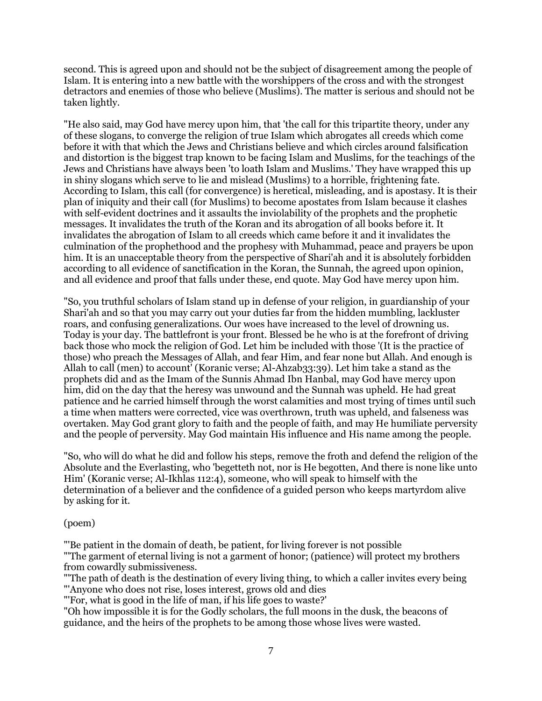second. This is agreed upon and should not be the subject of disagreement among the people of Islam. It is entering into a new battle with the worshippers of the cross and with the strongest detractors and enemies of those who believe (Muslims). The matter is serious and should not be taken lightly.

"He also said, may God have mercy upon him, that 'the call for this tripartite theory, under any of these slogans, to converge the religion of true Islam which abrogates all creeds which come before it with that which the Jews and Christians believe and which circles around falsification and distortion is the biggest trap known to be facing Islam and Muslims, for the teachings of the Jews and Christians have always been 'to loath Islam and Muslims.' They have wrapped this up in shiny slogans which serve to lie and mislead (Muslims) to a horrible, frightening fate. According to Islam, this call (for convergence) is heretical, misleading, and is apostasy. It is their plan of iniquity and their call (for Muslims) to become apostates from Islam because it clashes with self-evident doctrines and it assaults the inviolability of the prophets and the prophetic messages. It invalidates the truth of the Koran and its abrogation of all books before it. It invalidates the abrogation of Islam to all creeds which came before it and it invalidates the culmination of the prophethood and the prophesy with Muhammad, peace and prayers be upon him. It is an unacceptable theory from the perspective of Shari'ah and it is absolutely forbidden according to all evidence of sanctification in the Koran, the Sunnah, the agreed upon opinion, and all evidence and proof that falls under these, end quote. May God have mercy upon him.

"So, you truthful scholars of Islam stand up in defense of your religion, in guardianship of your Shari'ah and so that you may carry out your duties far from the hidden mumbling, lackluster roars, and confusing generalizations. Our woes have increased to the level of drowning us. Today is your day. The battlefront is your front. Blessed be he who is at the forefront of driving back those who mock the religion of God. Let him be included with those '(It is the practice of those) who preach the Messages of Allah, and fear Him, and fear none but Allah. And enough is Allah to call (men) to account' (Koranic verse; Al-Ahzab33:39). Let him take a stand as the prophets did and as the Imam of the Sunnis Ahmad Ibn Hanbal, may God have mercy upon him, did on the day that the heresy was unwound and the Sunnah was upheld. He had great patience and he carried himself through the worst calamities and most trying of times until such a time when matters were corrected, vice was overthrown, truth was upheld, and falseness was overtaken. May God grant glory to faith and the people of faith, and may He humiliate perversity and the people of perversity. May God maintain His influence and His name among the people.

"So, who will do what he did and follow his steps, remove the froth and defend the religion of the Absolute and the Everlasting, who 'begetteth not, nor is He begotten, And there is none like unto Him' (Koranic verse; Al-Ikhlas 112:4), someone, who will speak to himself with the determination of a believer and the confidence of a guided person who keeps martyrdom alive by asking for it.

### (poem)

"'Be patient in the domain of death, be patient, for living forever is not possible

"'The garment of eternal living is not a garment of honor; (patience) will protect my brothers from cowardly submissiveness.

"'The path of death is the destination of every living thing, to which a caller invites every being "'Anyone who does not rise, loses interest, grows old and dies

"'For, what is good in the life of man, if his life goes to waste?'

"Oh how impossible it is for the Godly scholars, the full moons in the dusk, the beacons of guidance, and the heirs of the prophets to be among those whose lives were wasted.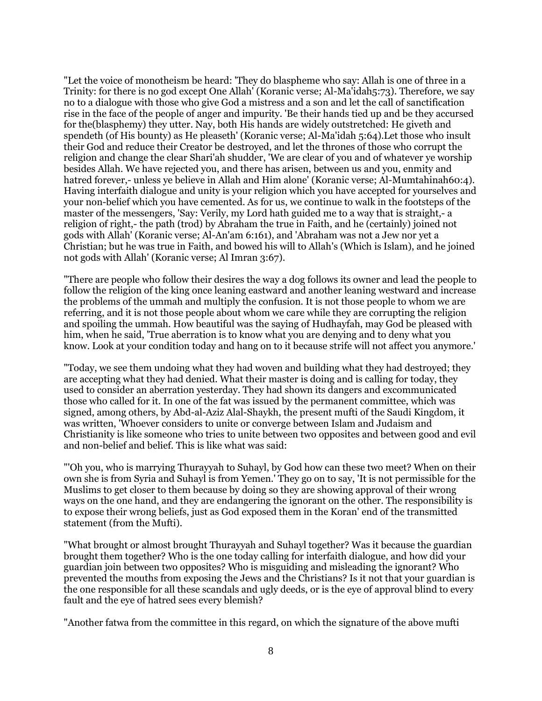"Let the voice of monotheism be heard: 'They do blaspheme who say: Allah is one of three in a Trinity: for there is no god except One Allah' (Koranic verse; Al-Ma'idah5:73). Therefore, we say no to a dialogue with those who give God a mistress and a son and let the call of sanctification rise in the face of the people of anger and impurity. 'Be their hands tied up and be they accursed for the(blasphemy) they utter. Nay, both His hands are widely outstretched: He giveth and spendeth (of His bounty) as He pleaseth' (Koranic verse; Al-Ma'idah 5:64).Let those who insult their God and reduce their Creator be destroyed, and let the thrones of those who corrupt the religion and change the clear Shari'ah shudder, 'We are clear of you and of whatever ye worship besides Allah. We have rejected you, and there has arisen, between us and you, enmity and hatred forever,- unless ye believe in Allah and Him alone' (Koranic verse; Al-Mumtahinah60:4). Having interfaith dialogue and unity is your religion which you have accepted for yourselves and your non-belief which you have cemented. As for us, we continue to walk in the footsteps of the master of the messengers, 'Say: Verily, my Lord hath guided me to a way that is straight,- a religion of right,- the path (trod) by Abraham the true in Faith, and he (certainly) joined not gods with Allah' (Koranic verse; Al-An'am 6:161), and 'Abraham was not a Jew nor yet a Christian; but he was true in Faith, and bowed his will to Allah's (Which is Islam), and he joined not gods with Allah' (Koranic verse; Al Imran 3:67).

"There are people who follow their desires the way a dog follows its owner and lead the people to follow the religion of the king once leaning eastward and another leaning westward and increase the problems of the ummah and multiply the confusion. It is not those people to whom we are referring, and it is not those people about whom we care while they are corrupting the religion and spoiling the ummah. How beautiful was the saying of Hudhayfah, may God be pleased with him, when he said, 'True aberration is to know what you are denying and to deny what you know. Look at your condition today and hang on to it because strife will not affect you anymore.'

"Today, we see them undoing what they had woven and building what they had destroyed; they are accepting what they had denied. What their master is doing and is calling for today, they used to consider an aberration yesterday. They had shown its dangers and excommunicated those who called for it. In one of the fat was issued by the permanent committee, which was signed, among others, by Abd-al-Aziz Alal-Shaykh, the present mufti of the Saudi Kingdom, it was written, 'Whoever considers to unite or converge between Islam and Judaism and Christianity is like someone who tries to unite between two opposites and between good and evil and non-belief and belief. This is like what was said:

"'Oh you, who is marrying Thurayyah to Suhayl, by God how can these two meet? When on their own she is from Syria and Suhayl is from Yemen.' They go on to say, 'It is not permissible for the Muslims to get closer to them because by doing so they are showing approval of their wrong ways on the one hand, and they are endangering the ignorant on the other. The responsibility is to expose their wrong beliefs, just as God exposed them in the Koran' end of the transmitted statement (from the Mufti).

"What brought or almost brought Thurayyah and Suhayl together? Was it because the guardian brought them together? Who is the one today calling for interfaith dialogue, and how did your guardian join between two opposites? Who is misguiding and misleading the ignorant? Who prevented the mouths from exposing the Jews and the Christians? Is it not that your guardian is the one responsible for all these scandals and ugly deeds, or is the eye of approval blind to every fault and the eye of hatred sees every blemish?

"Another fatwa from the committee in this regard, on which the signature of the above mufti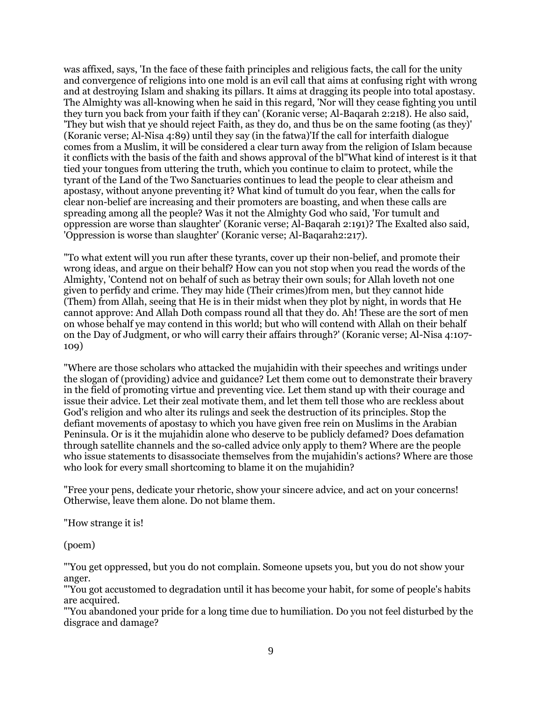was affixed, says, 'In the face of these faith principles and religious facts, the call for the unity and convergence of religions into one mold is an evil call that aims at confusing right with wrong and at destroying Islam and shaking its pillars. It aims at dragging its people into total apostasy. The Almighty was all-knowing when he said in this regard, 'Nor will they cease fighting you until they turn you back from your faith if they can' (Koranic verse; Al-Baqarah 2:218). He also said, 'They but wish that ye should reject Faith, as they do, and thus be on the same footing (as they)' (Koranic verse; Al-Nisa 4:89) until they say (in the fatwa)'If the call for interfaith dialogue comes from a Muslim, it will be considered a clear turn away from the religion of Islam because it conflicts with the basis of the faith and shows approval of the bl"What kind of interest is it that tied your tongues from uttering the truth, which you continue to claim to protect, while the tyrant of the Land of the Two Sanctuaries continues to lead the people to clear atheism and apostasy, without anyone preventing it? What kind of tumult do you fear, when the calls for clear non-belief are increasing and their promoters are boasting, and when these calls are spreading among all the people? Was it not the Almighty God who said, 'For tumult and oppression are worse than slaughter' (Koranic verse; Al-Baqarah 2:191)? The Exalted also said, 'Oppression is worse than slaughter' (Koranic verse; Al-Baqarah2:217).

"To what extent will you run after these tyrants, cover up their non-belief, and promote their wrong ideas, and argue on their behalf? How can you not stop when you read the words of the Almighty, 'Contend not on behalf of such as betray their own souls; for Allah loveth not one given to perfidy and crime. They may hide (Their crimes)from men, but they cannot hide (Them) from Allah, seeing that He is in their midst when they plot by night, in words that He cannot approve: And Allah Doth compass round all that they do. Ah! These are the sort of men on whose behalf ye may contend in this world; but who will contend with Allah on their behalf on the Day of Judgment, or who will carry their affairs through?' (Koranic verse; Al-Nisa 4:107- 109)

"Where are those scholars who attacked the mujahidin with their speeches and writings under the slogan of (providing) advice and guidance? Let them come out to demonstrate their bravery in the field of promoting virtue and preventing vice. Let them stand up with their courage and issue their advice. Let their zeal motivate them, and let them tell those who are reckless about God's religion and who alter its rulings and seek the destruction of its principles. Stop the defiant movements of apostasy to which you have given free rein on Muslims in the Arabian Peninsula. Or is it the mujahidin alone who deserve to be publicly defamed? Does defamation through satellite channels and the so-called advice only apply to them? Where are the people who issue statements to disassociate themselves from the mujahidin's actions? Where are those who look for every small shortcoming to blame it on the mujahidin?

"Free your pens, dedicate your rhetoric, show your sincere advice, and act on your concerns! Otherwise, leave them alone. Do not blame them.

"How strange it is!

(poem)

"'You get oppressed, but you do not complain. Someone upsets you, but you do not show your anger.

"'You got accustomed to degradation until it has become your habit, for some of people's habits are acquired.

"'You abandoned your pride for a long time due to humiliation. Do you not feel disturbed by the disgrace and damage?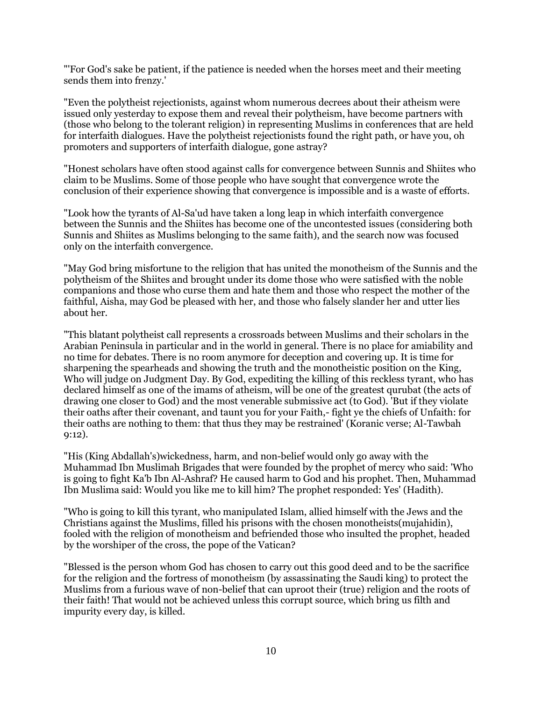"'For God's sake be patient, if the patience is needed when the horses meet and their meeting sends them into frenzy.'

"Even the polytheist rejectionists, against whom numerous decrees about their atheism were issued only yesterday to expose them and reveal their polytheism, have become partners with (those who belong to the tolerant religion) in representing Muslims in conferences that are held for interfaith dialogues. Have the polytheist rejectionists found the right path, or have you, oh promoters and supporters of interfaith dialogue, gone astray?

"Honest scholars have often stood against calls for convergence between Sunnis and Shiites who claim to be Muslims. Some of those people who have sought that convergence wrote the conclusion of their experience showing that convergence is impossible and is a waste of efforts.

"Look how the tyrants of Al-Sa'ud have taken a long leap in which interfaith convergence between the Sunnis and the Shiites has become one of the uncontested issues (considering both Sunnis and Shiites as Muslims belonging to the same faith), and the search now was focused only on the interfaith convergence.

"May God bring misfortune to the religion that has united the monotheism of the Sunnis and the polytheism of the Shiites and brought under its dome those who were satisfied with the noble companions and those who curse them and hate them and those who respect the mother of the faithful, Aisha, may God be pleased with her, and those who falsely slander her and utter lies about her.

"This blatant polytheist call represents a crossroads between Muslims and their scholars in the Arabian Peninsula in particular and in the world in general. There is no place for amiability and no time for debates. There is no room anymore for deception and covering up. It is time for sharpening the spearheads and showing the truth and the monotheistic position on the King, Who will judge on Judgment Day. By God, expediting the killing of this reckless tyrant, who has declared himself as one of the imams of atheism, will be one of the greatest qurubat (the acts of drawing one closer to God) and the most venerable submissive act (to God). 'But if they violate their oaths after their covenant, and taunt you for your Faith,- fight ye the chiefs of Unfaith: for their oaths are nothing to them: that thus they may be restrained' (Koranic verse; Al-Tawbah 9:12).

"His (King Abdallah's)wickedness, harm, and non-belief would only go away with the Muhammad Ibn Muslimah Brigades that were founded by the prophet of mercy who said: 'Who is going to fight Ka'b Ibn Al-Ashraf? He caused harm to God and his prophet. Then, Muhammad Ibn Muslima said: Would you like me to kill him? The prophet responded: Yes' (Hadith).

"Who is going to kill this tyrant, who manipulated Islam, allied himself with the Jews and the Christians against the Muslims, filled his prisons with the chosen monotheists(mujahidin), fooled with the religion of monotheism and befriended those who insulted the prophet, headed by the worshiper of the cross, the pope of the Vatican?

"Blessed is the person whom God has chosen to carry out this good deed and to be the sacrifice for the religion and the fortress of monotheism (by assassinating the Saudi king) to protect the Muslims from a furious wave of non-belief that can uproot their (true) religion and the roots of their faith! That would not be achieved unless this corrupt source, which bring us filth and impurity every day, is killed.